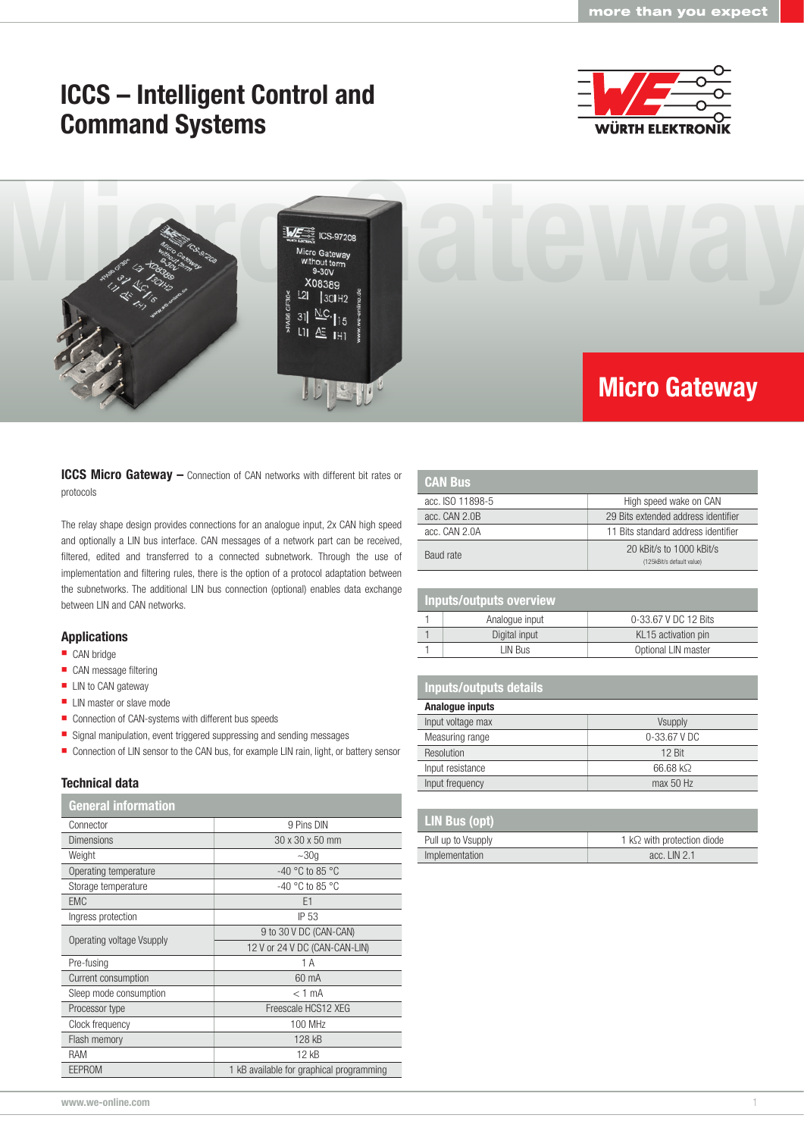## ICCS – Intelligent Control and Command Systems





ICCS Micro Gateway - Connection of CAN networks with different bit rates or protocols

The relay shape design provides connections for an analogue input, 2x CAN high speed and optionally a LIN bus interface. CAN messages of a network part can be received, filtered, edited and transferred to a connected subnetwork. Through the use of implementation and filtering rules, there is the option of a protocol adaptation between the subnetworks. The additional LIN bus connection (optional) enables data exchange between LIN and CAN networks.

#### Applications

- CAN bridge
- CAN message filtering
- **LIN** to CAN gateway
- LIN master or slave mode
- Connection of CAN-systems with different bus speeds
- Signal manipulation, event triggered suppressing and sending messages
- Connection of LIN sensor to the CAN bus, for example LIN rain, light, or battery sensor

### Technical data

## General information

| Connector                 | 9 Pins DIN                               |  |
|---------------------------|------------------------------------------|--|
| <b>Dimensions</b>         | 30 x 30 x 50 mm                          |  |
| Weight                    | $~1$ $~30q$                              |  |
| Operating temperature     | $-40$ °C to 85 °C                        |  |
| Storage temperature       | $-40$ °C to 85 °C                        |  |
| <b>EMC</b>                | E <sub>1</sub>                           |  |
| Ingress protection        | IP 53                                    |  |
| Operating voltage Vsupply | 9 to 30 V DC (CAN-CAN)                   |  |
|                           | 12 V or 24 V DC (CAN-CAN-LIN)            |  |
| Pre-fusing                | 1 A                                      |  |
| Current consumption       | 60 mA                                    |  |
| Sleep mode consumption    | $<$ 1 mA                                 |  |
| Processor type            | Freescale HCS12 XEG                      |  |
| Clock frequency           | 100 MHz                                  |  |
| Flash memory              | 128 kB                                   |  |
| RAM                       | 12 kB                                    |  |
| <b>EEPROM</b>             | 1 kB available for graphical programming |  |

| <b>CAN Bus</b>   |                                                       |
|------------------|-------------------------------------------------------|
| acc. ISO 11898-5 | High speed wake on CAN                                |
| acc. CAN 2.0B    | 29 Bits extended address identifier                   |
| acc. CAN 2.0A    | 11 Bits standard address identifier                   |
| Baud rate        | 20 kBit/s to 1000 kBit/s<br>(125kBit/s default value) |

## Inputs/outputs overview

| Analoque input | 0-33.67 V DC 12 Bits |
|----------------|----------------------|
| Digital input  | KL15 activation pin  |
| LIN Bus        | Optional LIN master  |

### Inputs/outputs details

| Analogue inputs   |                  |  |
|-------------------|------------------|--|
| Input voltage max | Vsupply          |  |
| Measuring range   | $0 - 33.67$ V DC |  |
| Resolution        | $12$ Rit         |  |
| Input resistance  | 66.68 kΩ         |  |
| Input frequency   | max 50 Hz        |  |

| LIN Bus (opt)      |                                    |
|--------------------|------------------------------------|
| Pull up to Vsupply | 1 k $\Omega$ with protection diode |
| Implementation     | acc. $LIN 2.1$                     |